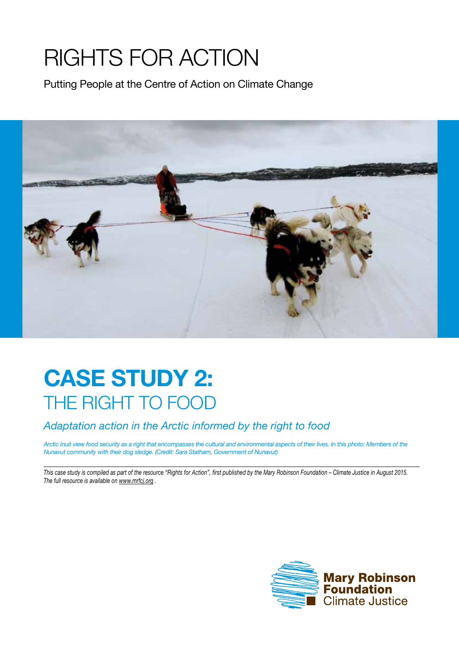## Rights for Action

Putting People at the Centre of Action on Climate Change



## **Case study 2:** THE RIGHT TO FOOD

## *Adaptation action in the Arctic informed by the right to food*

*Arctic Inuit view food security as a right that encompasses the cultural and environmental aspects of their lives. In this photo: Members of the Nunavut community with their dog sledge. (Credit: Sara Statham, Government of Nunavut)*

*This case study is compiled as part of the resource "Rights for Action", first published by the Mary Robinson Foundation – Climate Justice in August 2015. The full resource is available on www.mrfcj.org .*

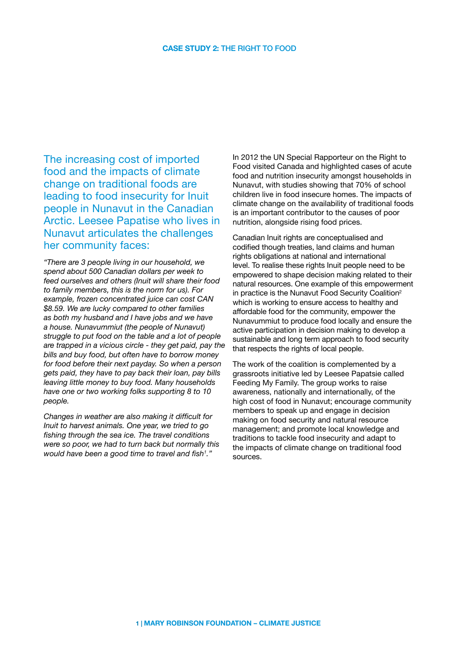The increasing cost of imported food and the impacts of climate change on traditional foods are leading to food insecurity for Inuit people in Nunavut in the Canadian Arctic. Leesee Papatise who lives in Nunavut articulates the challenges her community faces:

*"There are 3 people living in our household, we spend about 500 Canadian dollars per week to feed ourselves and others (Inuit will share their food to family members, this is the norm for us). For example, frozen concentrated juice can cost CAN \$8.59. We are lucky compared to other families as both my husband and I have jobs and we have a house. Nunavummiut (the people of Nunavut) struggle to put food on the table and a lot of people are trapped in a vicious circle - they get paid, pay the bills and buy food, but often have to borrow money for food before their next payday. So when a person gets paid, they have to pay back their loan, pay bills leaving little money to buy food. Many households have one or two working folks supporting 8 to 10 people.* 

*Changes in weather are also making it difficult for Inuit to harvest animals. One year, we tried to go fishing through the sea ice. The travel conditions were so poor, we had to turn back but normally this would have been a good time to travel and fish1 ."*

In 2012 the UN Special Rapporteur on the Right to Food visited Canada and highlighted cases of acute food and nutrition insecurity amongst households in Nunavut, with studies showing that 70% of school children live in food insecure homes. The impacts of climate change on the availability of traditional foods is an important contributor to the causes of poor nutrition, alongside rising food prices.

Canadian Inuit rights are conceptualised and codified though treaties, land claims and human rights obligations at national and international level. To realise these rights Inuit people need to be empowered to shape decision making related to their natural resources. One example of this empowerment in practice is the Nunavut Food Security Coalition<sup>2</sup> which is working to ensure access to healthy and affordable food for the community, empower the Nunavummiut to produce food locally and ensure the active participation in decision making to develop a sustainable and long term approach to food security that respects the rights of local people.

The work of the coalition is complemented by a grassroots initiative led by Leesee Papatsie called Feeding My Family. The group works to raise awareness, nationally and internationally, of the high cost of food in Nunavut; encourage community members to speak up and engage in decision making on food security and natural resource management; and promote local knowledge and traditions to tackle food insecurity and adapt to the impacts of climate change on traditional food sources.